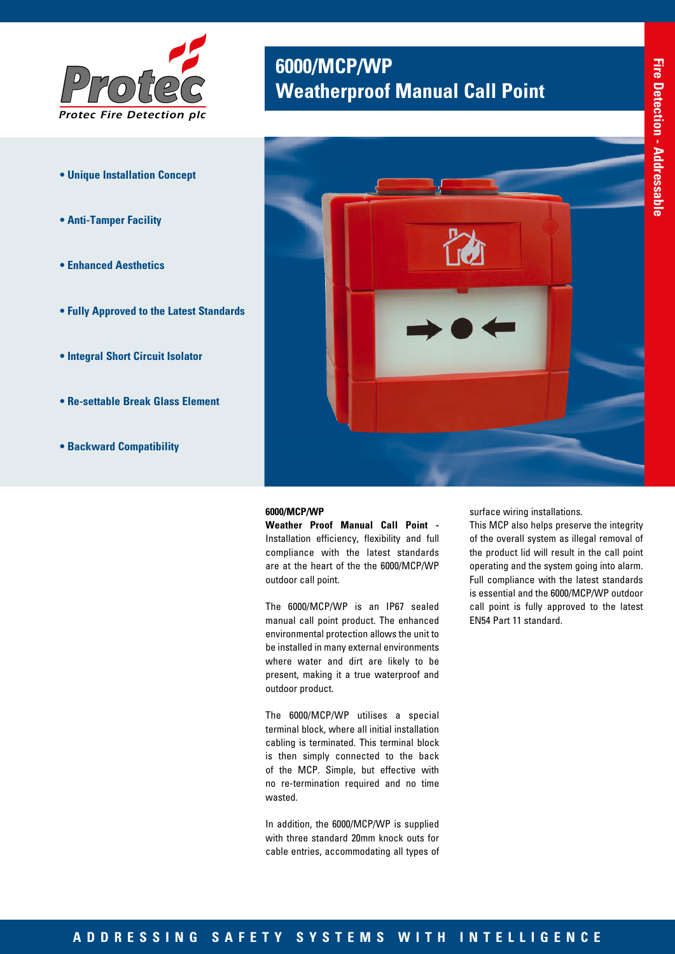

- **Unique Installation Concept**
- **Anti-Tamper Facility**
- **Enhanced Aesthetics**
- **Fully Approved to the Latest Standards**
- **Integral Short Circuit Isolator**
- **Re-settable Break Glass Element**
- **Backward Compatibility**

# **6000/MCP/WP<br>
Weatherproof Manual Call Point**



#### **6000/MCP/WP**

**Weather Proof Manual Call Point -**  Installation efficiency, flexibility and full compliance with the latest standards are at the heart of the the 6000/MCP/WP outdoor call point.

The 6000/MCP/WP is an IP67 sealed manual call point product. The enhanced environmental protection allows the unit to be installed in many external environments where water and dirt are likely to be present, making it a true waterproof and outdoor product.

The 6000/MCP/WP utilises a special terminal block, where all initial installation cabling is terminated. This terminal block is then simply connected to the back of the MCP. Simple, but effective with no re-termination required and no time wasted.

In addition, the 6000/MCP/WP is supplied with three standard 20mm knock outs for cable entries, accommodating all types of surface wiring installations.

This MCP also helps preserve the integrity of the overall system as illegal removal of the product lid will result in the call point operating and the system going into alarm. Full compliance with the latest standards is essential and the 6000/MCP/WP outdoor call point is fully approved to the latest EN54 Part 11 standard.